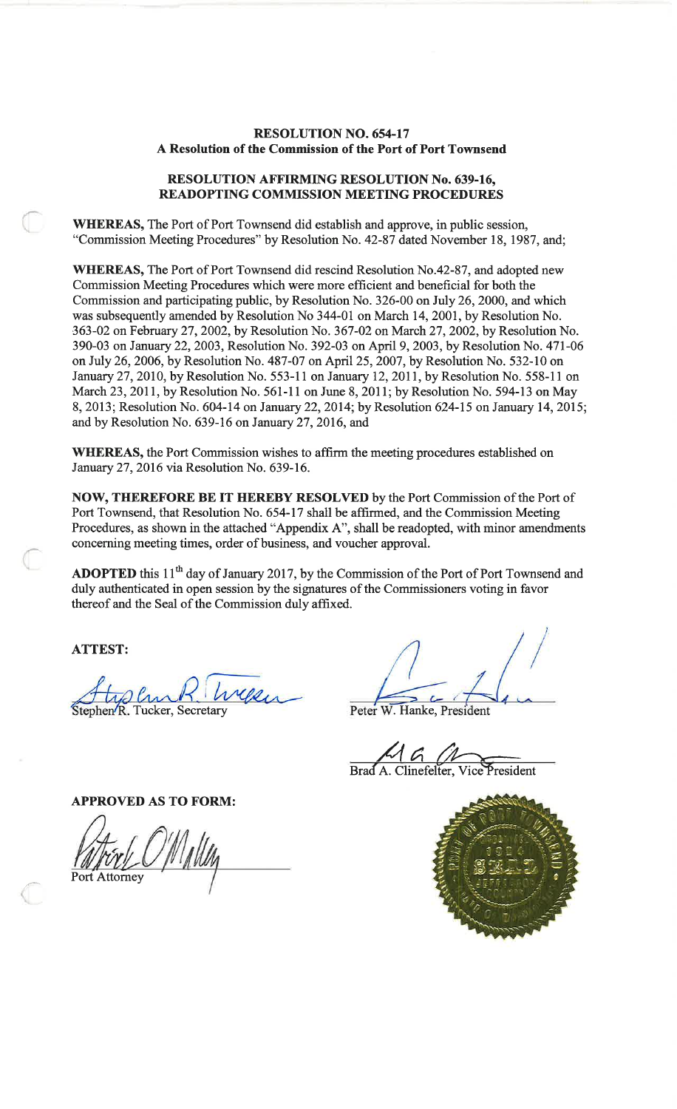## **RESOLUTION NO. 654-17** A Resolution of the Commission of the Port of Port Townsend

#### **RESOLUTION AFFIRMING RESOLUTION No. 639-16,** READOPTING COMMISSION MEETING PROCEDURES

WHEREAS, The Port of Port Townsend did establish and approve, in public session, "Commission Meeting Procedures" by Resolution No. 42-87 dated November 18, 1987, and;

WHEREAS, The Port of Port Townsend did rescind Resolution No.42-87, and adopted new Commission Meeting Procedures which were more efficient and beneficial for both the Commission and participating public, by Resolution No. 326-00 on July 26, 2000, and which was subsequently amended by Resolution No 344-01 on March 14, 2001, by Resolution No. 363-02 on February 27, 2002, by Resolution No. 367-02 on March 27, 2002, by Resolution No. 390-03 on January 22, 2003, Resolution No. 392-03 on April 9, 2003, by Resolution No. 471-06 on July 26, 2006, by Resolution No. 487-07 on April 25, 2007, by Resolution No. 532-10 on January 27, 2010, by Resolution No. 553-11 on January 12, 2011, by Resolution No. 558-11 on March 23, 2011, by Resolution No. 561-11 on June 8, 2011; by Resolution No. 594-13 on May 8, 2013; Resolution No. 604-14 on January 22, 2014; by Resolution 624-15 on January 14, 2015; and by Resolution No. 639-16 on January 27, 2016, and

WHEREAS, the Port Commission wishes to affirm the meeting procedures established on January 27, 2016 via Resolution No. 639-16.

NOW, THEREFORE BE IT HEREBY RESOLVED by the Port Commission of the Port of Port Townsend, that Resolution No. 654-17 shall be affirmed, and the Commission Meeting Procedures, as shown in the attached "Appendix A", shall be readopted, with minor amendments concerning meeting times, order of business, and voucher approval.

ADOPTED this 11<sup>th</sup> day of January 2017, by the Commission of the Port of Port Townsend and duly authenticated in open session by the signatures of the Commissioners voting in favor thereof and the Seal of the Commission duly affixed.

**ATTEST:** 

Stephen R. Tucker, Secretary

Peter W. Hanke, President

1 G Brad A. Clinefelter, Vice President

**APPROVED AS TO FORM:** 

Port Attorney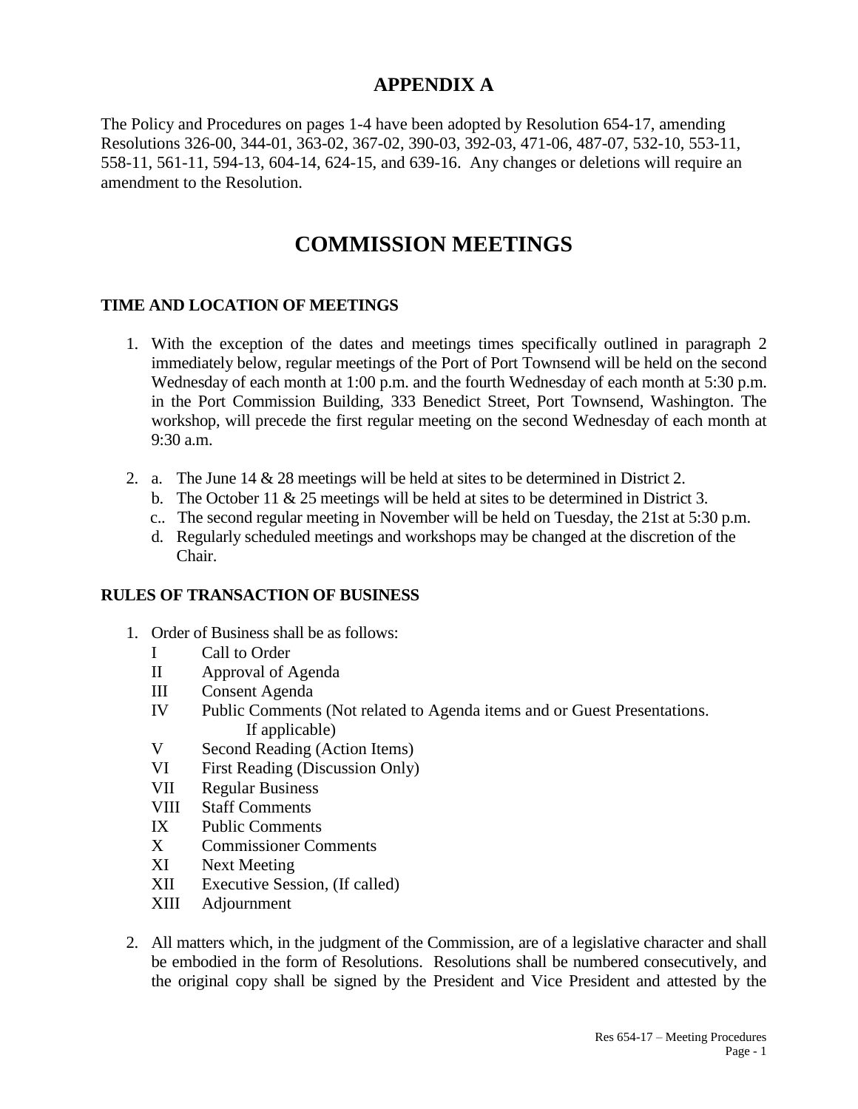# **APPENDIX A**

The Policy and Procedures on pages 1-4 have been adopted by Resolution 654-17, amending Resolutions 326-00, 344-01, 363-02, 367-02, 390-03, 392-03, 471-06, 487-07, 532-10, 553-11, 558-11, 561-11, 594-13, 604-14, 624-15, and 639-16. Any changes or deletions will require an amendment to the Resolution.

# **COMMISSION MEETINGS**

# **TIME AND LOCATION OF MEETINGS**

- 1. With the exception of the dates and meetings times specifically outlined in paragraph 2 immediately below, regular meetings of the Port of Port Townsend will be held on the second Wednesday of each month at 1:00 p.m. and the fourth Wednesday of each month at 5:30 p.m. in the Port Commission Building, 333 Benedict Street, Port Townsend, Washington. The workshop, will precede the first regular meeting on the second Wednesday of each month at 9:30 a.m.
- 2. a. The June 14 & 28 meetings will be held at sites to be determined in District 2.
	- b. The October 11  $\&$  25 meetings will be held at sites to be determined in District 3.
	- c.. The second regular meeting in November will be held on Tuesday, the 21st at 5:30 p.m.
	- d. Regularly scheduled meetings and workshops may be changed at the discretion of the Chair.

# **RULES OF TRANSACTION OF BUSINESS**

- 1. Order of Business shall be as follows:
	- I Call to Order
	- II Approval of Agenda
	- III Consent Agenda
	- IV Public Comments (Not related to Agenda items and or Guest Presentations. If applicable)
	- V Second Reading (Action Items)
	- VI First Reading (Discussion Only)
	- VII Regular Business
	- VIII Staff Comments
	- IX Public Comments
	- X Commissioner Comments
	- XI Next Meeting
	- XII Executive Session, (If called)
	- XIII Adjournment
- 2. All matters which, in the judgment of the Commission, are of a legislative character and shall be embodied in the form of Resolutions. Resolutions shall be numbered consecutively, and the original copy shall be signed by the President and Vice President and attested by the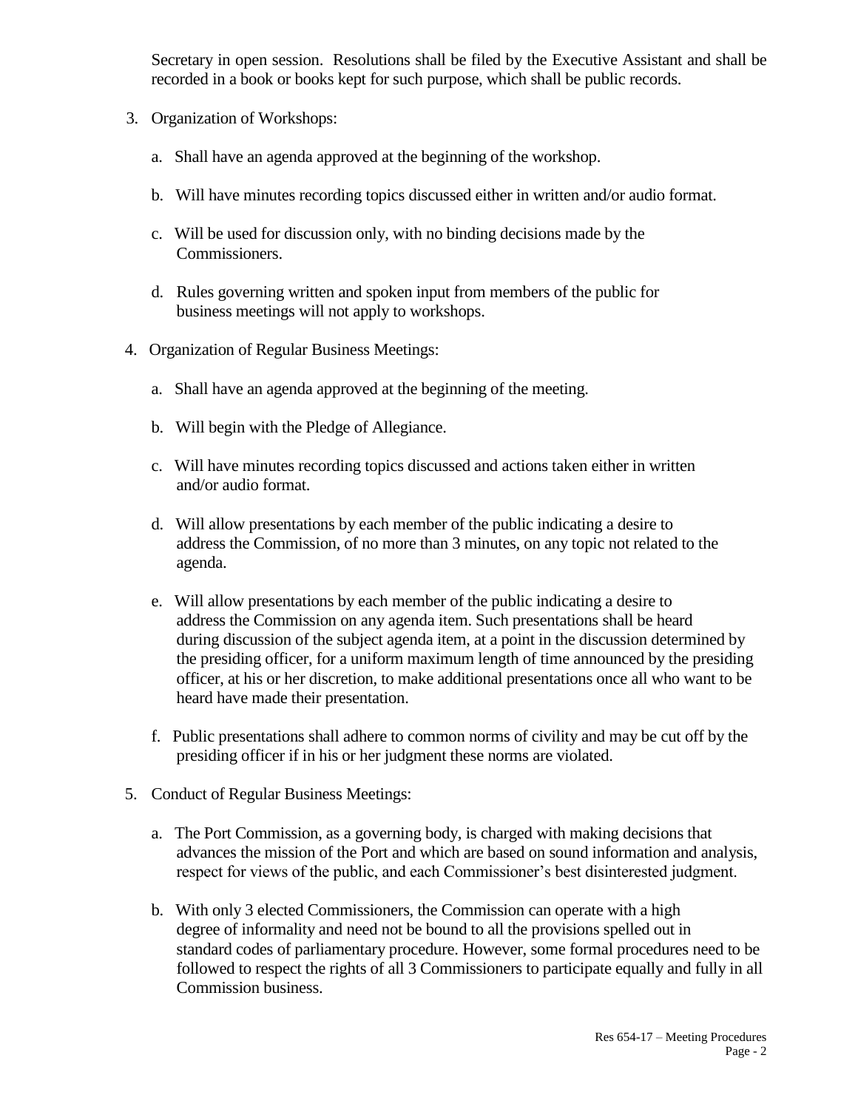Secretary in open session. Resolutions shall be filed by the Executive Assistant and shall be recorded in a book or books kept for such purpose, which shall be public records.

- 3. Organization of Workshops:
	- a. Shall have an agenda approved at the beginning of the workshop.
	- b. Will have minutes recording topics discussed either in written and/or audio format.
	- c. Will be used for discussion only, with no binding decisions made by the Commissioners.
	- d. Rules governing written and spoken input from members of the public for business meetings will not apply to workshops.
- 4. Organization of Regular Business Meetings:
	- a. Shall have an agenda approved at the beginning of the meeting.
	- b. Will begin with the Pledge of Allegiance.
	- c. Will have minutes recording topics discussed and actions taken either in written and/or audio format.
	- d. Will allow presentations by each member of the public indicating a desire to address the Commission, of no more than 3 minutes, on any topic not related to the agenda.
	- e. Will allow presentations by each member of the public indicating a desire to address the Commission on any agenda item. Such presentations shall be heard during discussion of the subject agenda item, at a point in the discussion determined by the presiding officer, for a uniform maximum length of time announced by the presiding officer, at his or her discretion, to make additional presentations once all who want to be heard have made their presentation.
	- f. Public presentations shall adhere to common norms of civility and may be cut off by the presiding officer if in his or her judgment these norms are violated.
- 5. Conduct of Regular Business Meetings:
	- a. The Port Commission, as a governing body, is charged with making decisions that advances the mission of the Port and which are based on sound information and analysis, respect for views of the public, and each Commissioner's best disinterested judgment.
	- b. With only 3 elected Commissioners, the Commission can operate with a high degree of informality and need not be bound to all the provisions spelled out in standard codes of parliamentary procedure. However, some formal procedures need to be followed to respect the rights of all 3 Commissioners to participate equally and fully in all Commission business.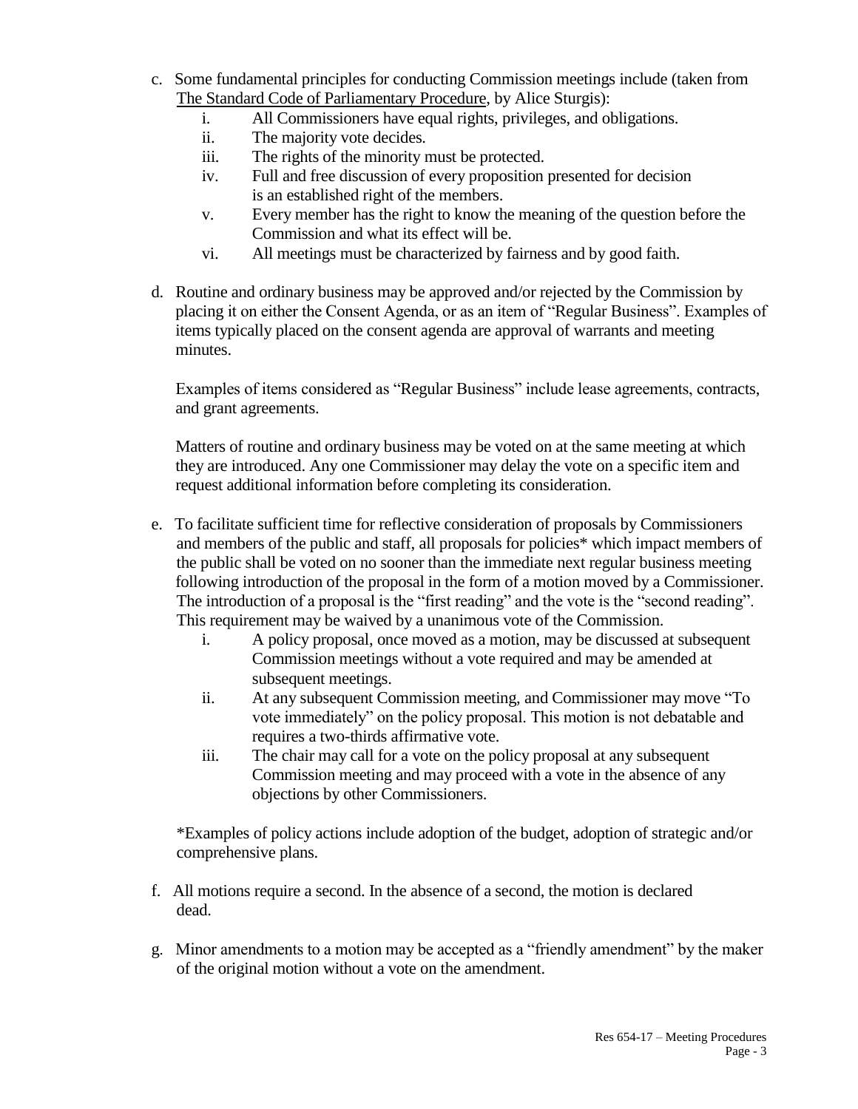- c. Some fundamental principles for conducting Commission meetings include (taken from The Standard Code of Parliamentary Procedure, by Alice Sturgis):
	- i. All Commissioners have equal rights, privileges, and obligations.
	- ii. The majority vote decides.
	- iii. The rights of the minority must be protected.
	- iv. Full and free discussion of every proposition presented for decision is an established right of the members.
	- v. Every member has the right to know the meaning of the question before the Commission and what its effect will be.
	- vi. All meetings must be characterized by fairness and by good faith.
- d. Routine and ordinary business may be approved and/or rejected by the Commission by placing it on either the Consent Agenda, or as an item of "Regular Business". Examples of items typically placed on the consent agenda are approval of warrants and meeting minutes.

Examples of items considered as "Regular Business" include lease agreements, contracts, and grant agreements.

Matters of routine and ordinary business may be voted on at the same meeting at which they are introduced. Any one Commissioner may delay the vote on a specific item and request additional information before completing its consideration.

- e. To facilitate sufficient time for reflective consideration of proposals by Commissioners and members of the public and staff, all proposals for policies\* which impact members of the public shall be voted on no sooner than the immediate next regular business meeting following introduction of the proposal in the form of a motion moved by a Commissioner. The introduction of a proposal is the "first reading" and the vote is the "second reading". This requirement may be waived by a unanimous vote of the Commission.
	- i. A policy proposal, once moved as a motion, may be discussed at subsequent Commission meetings without a vote required and may be amended at subsequent meetings.
	- ii. At any subsequent Commission meeting, and Commissioner may move "To vote immediately" on the policy proposal. This motion is not debatable and requires a two-thirds affirmative vote.
	- iii. The chair may call for a vote on the policy proposal at any subsequent Commission meeting and may proceed with a vote in the absence of any objections by other Commissioners.

\*Examples of policy actions include adoption of the budget, adoption of strategic and/or comprehensive plans.

- f. All motions require a second. In the absence of a second, the motion is declared dead.
- g. Minor amendments to a motion may be accepted as a "friendly amendment" by the maker of the original motion without a vote on the amendment.